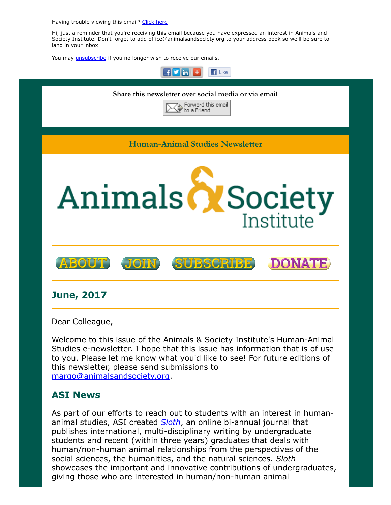Having trouble viewing this email? [Click](http://campaign.r20.constantcontact.com/render?ca=2f8e1184-1c3f-4afa-b13e-84c0e07708f1&preview=true&m=1117082078075&id=preview) here

Hi, just a reminder that you're receiving this email because you have expressed an interest in Animals and Society Institute. Don't forget to add office@animalsandsociety.org to your address book so we'll be sure to land in your inbox!

You may *[unsubscribe](https://visitor.constantcontact.com/do?p=un&mse=0016u8cGCOk4ijLe6EYFlbq8UmlFeKV0nFU&t=001JqNYhKA46dkBYKj2iHYNww%3D%3D&id=001b-xBWU3VMkcM8dYr8taaWXSJRe02Iknl&llr=88spulqab)* if you no longer wish to receive our emails.



Welcome to this issue of the Animals & Society Institute's Human-Animal Studies e-newsletter. I hope that this issue has information that is of use to you. Please let me know what you'd like to see! For future editions of this newsletter, please send submissions to [margo@animalsandsociety.org.](mailto:margo@animalsandsociety.org)

# ASI News

As part of our efforts to reach out to students with an interest in humananimal studies, ASI created **[Sloth](https://www.animalsandsociety.org/human-animal-studies/sloth/)**, an online bi-annual journal that publishes international, multi-disciplinary writing by undergraduate students and recent (within three years) graduates that deals with human/non-human animal relationships from the perspectives of the social sciences, the humanities, and the natural sciences. Sloth showcases the important and innovative contributions of undergraduates, giving those who are interested in human/non-human animal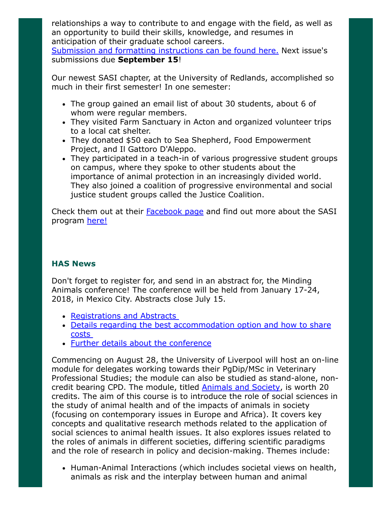relationships a way to contribute to and engage with the field, as well as an opportunity to build their skills, knowledge, and resumes in anticipation of their graduate school careers.

Submission and formatting [instructions](http://www.animalsandsociety.org/sloth-submission-information/) can be found here. Next issue's submissions due September 15!

Our newest SASI chapter, at the University of Redlands, accomplished so much in their first semester! In one semester:

- The group gained an email list of about 30 students, about 6 of whom were regular members.
- They visited Farm Sanctuary in Acton and organized volunteer trips to a local cat shelter.
- They donated \$50 each to Sea Shepherd, Food Empowerment Project, and Il Gattoro D'Aleppo.
- They participated in a teach-in of various progressive student groups on campus, where they spoke to other students about the importance of animal protection in an increasingly divided world. They also joined a coalition of progressive environmental and social justice student groups called the Justice Coalition.

Check them out at their [Facebook](https://www.facebook.com/SASIRedlands/) page and find out more about the SASI program [here!](https://www.animalsandsociety.org/human-animal-studies/sasis/)

### HAS News

Don't forget to register for, and send in an abstract for, the Minding Animals conference! The conference will be held from January 17-24, 2018, in Mexico City. Abstracts close July 15.

- [Registrations](https://mac4.tueventoenweb.com/) and Abstracts
- Details regarding the best [accommodation](http://www.mindinganimals.com/conferences/mac4-ciudad-de-mexico-mexico/venue/) option and how to share costs
- Further details about the [conference](http://www.mindinganimals.com/conferences/mac4-ciudad-de-mexico-mexico/)

Commencing on August 28, the University of Liverpool will host an on-line module for delegates working towards their PgDip/MSc in Veterinary Professional Studies; the module can also be studied as stand-alone, noncredit bearing CPD. The module, titled **[Animals](http://www.liv.ac.uk/cpdvets) and Society**, is worth 20 credits. The aim of this course is to introduce the role of social sciences in the study of animal health and of the impacts of animals in society (focusing on contemporary issues in Europe and Africa). It covers key concepts and qualitative research methods related to the application of social sciences to animal health issues. It also explores issues related to the roles of animals in different societies, differing scientific paradigms and the role of research in policy and decision-making. Themes include:

Human-Animal Interactions (which includes societal views on health, animals as risk and the interplay between human and animal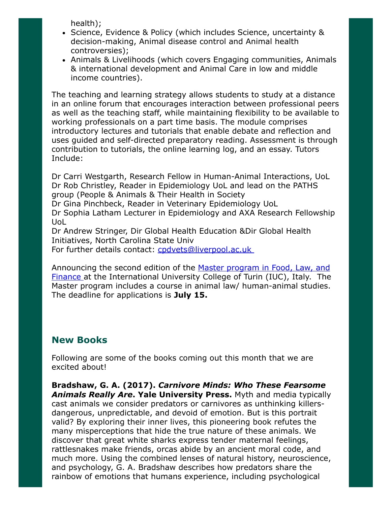health);

- Science, Evidence & Policy (which includes Science, uncertainty & decision-making, Animal disease control and Animal health controversies);
- Animals & Livelihoods (which covers Engaging communities, Animals & international development and Animal Care in low and middle income countries).

The teaching and learning strategy allows students to study at a distance in an online forum that encourages interaction between professional peers as well as the teaching staff, while maintaining flexibility to be available to working professionals on a part time basis. The module comprises introductory lectures and tutorials that enable debate and reflection and uses guided and self-directed preparatory reading. Assessment is through contribution to tutorials, the online learning log, and an essay. Tutors Include:

Dr Carri Westgarth, Research Fellow in Human-Animal Interactions, UoL Dr Rob Christley, Reader in Epidemiology UoL and lead on the PATHS group (People & Animals & Their Health in Society

Dr Gina Pinchbeck, Reader in Veterinary Epidemiology UoL

Dr Sophia Latham Lecturer in Epidemiology and AXA Research Fellowship UoL

Dr Andrew Stringer, Dir Global Health Education &Dir Global Health Initiatives, North Carolina State Univ

For further details contact: [cpdvets@liverpool.ac.uk](mailto:cpdvets@liverpool.ac.uk)

Announcing the second edition of the Master program in Food, Law, and Finance at the [International](http://www.iuctorino.it/studies/m-res/flf-curriculum/#1458836906284-c2210fce-bfcb) University College of Turin (IUC), Italy. The Master program includes a course in animal law/ human-animal studies. The deadline for applications is July 15.

# New Books

Following are some of the books coming out this month that we are excited about!

Bradshaw, G. A. (2017). Carnivore Minds: Who These Fearsome Animals Really Are. Yale University Press. Myth and media typically cast animals we consider predators or carnivores as unthinking killersdangerous, unpredictable, and devoid of emotion. But is this portrait valid? By exploring their inner lives, this pioneering book refutes the many misperceptions that hide the true nature of these animals. We discover that great white sharks express tender maternal feelings, rattlesnakes make friends, orcas abide by an ancient moral code, and much more. Using the combined lenses of natural history, neuroscience, and psychology, G. A. Bradshaw describes how predators share the rainbow of emotions that humans experience, including psychological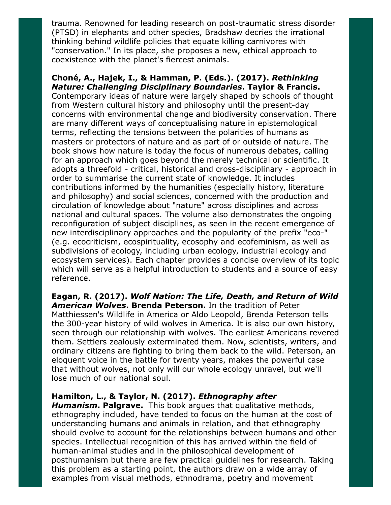trauma. Renowned for leading research on post-traumatic stress disorder (PTSD) in elephants and other species, Bradshaw decries the irrational thinking behind wildlife policies that equate killing carnivores with "conservation." In its place, she proposes a new, ethical approach to coexistence with the planet's fiercest animals.

#### Choné, A., Hajek, I., & Hamman, P. (Eds.). (2017). Rethinking Nature: Challenging Disciplinary Boundaries. Taylor & Francis.

Contemporary ideas of nature were largely shaped by schools of thought from Western cultural history and philosophy until the present-day concerns with environmental change and biodiversity conservation. There are many different ways of conceptualising nature in epistemological terms, reflecting the tensions between the polarities of humans as masters or protectors of nature and as part of or outside of nature. The book shows how nature is today the focus of numerous debates, calling for an approach which goes beyond the merely technical or scientific. It adopts a threefold - critical, historical and cross-disciplinary - approach in order to summarise the current state of knowledge. It includes contributions informed by the humanities (especially history, literature and philosophy) and social sciences, concerned with the production and circulation of knowledge about "nature" across disciplines and across national and cultural spaces. The volume also demonstrates the ongoing reconfiguration of subject disciplines, as seen in the recent emergence of new interdisciplinary approaches and the popularity of the prefix "eco-" (e.g. ecocriticism, ecospirituality, ecosophy and ecofeminism, as well as subdivisions of ecology, including urban ecology, industrial ecology and ecosystem services). Each chapter provides a concise overview of its topic which will serve as a helpful introduction to students and a source of easy reference.

Eagan, R. (2017). Wolf Nation: The Life, Death, and Return of Wild American Wolves. Brenda Peterson. In the tradition of Peter Matthiessen's Wildlife in America or Aldo Leopold, Brenda Peterson tells the 300-year history of wild wolves in America. It is also our own history, seen through our relationship with wolves. The earliest Americans revered them. Settlers zealously exterminated them. Now, scientists, writers, and ordinary citizens are fighting to bring them back to the wild. Peterson, an eloquent voice in the battle for twenty years, makes the powerful case that without wolves, not only will our whole ecology unravel, but we'll lose much of our national soul.

### Hamilton, L., & Taylor, N. (2017). Ethnography after

Humanism. Palgrave. This book argues that qualitative methods, ethnography included, have tended to focus on the human at the cost of understanding humans and animals in relation, and that ethnography should evolve to account for the relationships between humans and other species. Intellectual recognition of this has arrived within the field of human-animal studies and in the philosophical development of posthumanism but there are few practical guidelines for research. Taking this problem as a starting point, the authors draw on a wide array of examples from visual methods, ethnodrama, poetry and movement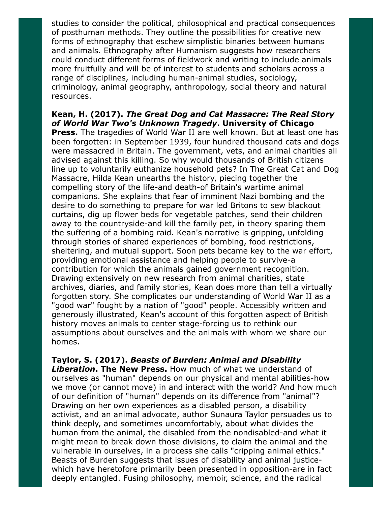studies to consider the political, philosophical and practical consequences of posthuman methods. They outline the possibilities for creative new forms of ethnography that eschew simplistic binaries between humans and animals. Ethnography after Humanism suggests how researchers could conduct different forms of fieldwork and writing to include animals more fruitfully and will be of interest to students and scholars across a range of disciplines, including human-animal studies, sociology, criminology, animal geography, anthropology, social theory and natural resources.

### Kean, H. (2017). The Great Dog and Cat Massacre: The Real Story of World War Two's Unknown Tragedy. University of Chicago

**Press.** The tragedies of World War II are well known. But at least one has been forgotten: in September 1939, four hundred thousand cats and dogs were massacred in Britain. The government, vets, and animal charities all advised against this killing. So why would thousands of British citizens line up to voluntarily euthanize household pets? In The Great Cat and Dog Massacre, Hilda Kean unearths the history, piecing together the compelling story of the life-and death-of Britain's wartime animal companions. She explains that fear of imminent Nazi bombing and the desire to do something to prepare for war led Britons to sew blackout curtains, dig up flower beds for vegetable patches, send their children away to the countryside-and kill the family pet, in theory sparing them the suffering of a bombing raid. Kean's narrative is gripping, unfolding through stories of shared experiences of bombing, food restrictions, sheltering, and mutual support. Soon pets became key to the war effort, providing emotional assistance and helping people to survive-a contribution for which the animals gained government recognition. Drawing extensively on new research from animal charities, state archives, diaries, and family stories, Kean does more than tell a virtually forgotten story. She complicates our understanding of World War II as a "good war" fought by a nation of "good" people. Accessibly written and generously illustrated, Kean's account of this forgotten aspect of British history moves animals to center stage-forcing us to rethink our assumptions about ourselves and the animals with whom we share our homes.

Taylor, S. (2017). Beasts of Burden: Animal and Disability

Liberation. The New Press. How much of what we understand of ourselves as "human" depends on our physical and mental abilities-how we move (or cannot move) in and interact with the world? And how much of our definition of "human" depends on its difference from "animal"? Drawing on her own experiences as a disabled person, a disability activist, and an animal advocate, author Sunaura Taylor persuades us to think deeply, and sometimes uncomfortably, about what divides the human from the animal, the disabled from the nondisabled-and what it might mean to break down those divisions, to claim the animal and the vulnerable in ourselves, in a process she calls "cripping animal ethics." Beasts of Burden suggests that issues of disability and animal justicewhich have heretofore primarily been presented in opposition-are in fact deeply entangled. Fusing philosophy, memoir, science, and the radical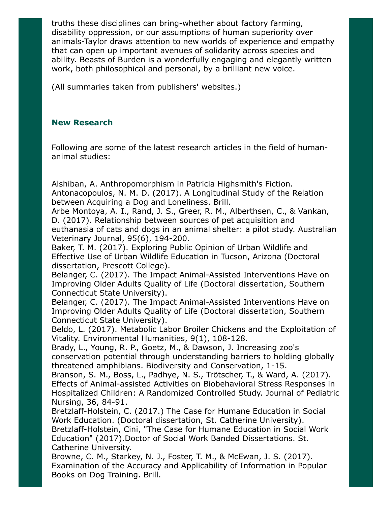truths these disciplines can bring-whether about factory farming, disability oppression, or our assumptions of human superiority over animals-Taylor draws attention to new worlds of experience and empathy that can open up important avenues of solidarity across species and ability. Beasts of Burden is a wonderfully engaging and elegantly written work, both philosophical and personal, by a brilliant new voice.

(All summaries taken from publishers' websites.)

### New Research

Following are some of the latest research articles in the field of humananimal studies:

Alshiban, A. Anthropomorphism in Patricia Highsmith's Fiction. Antonacopoulos, N. M. D. (2017). A Longitudinal Study of the Relation between Acquiring a Dog and Loneliness. Brill.

Arbe Montoya, A. I., Rand, J. S., Greer, R. M., Alberthsen, C., & Vankan, D. (2017). Relationship between sources of pet acquisition and euthanasia of cats and dogs in an animal shelter: a pilot study. Australian Veterinary Journal, 95(6), 194-200.

Baker, T. M. (2017). Exploring Public Opinion of Urban Wildlife and Effective Use of Urban Wildlife Education in Tucson, Arizona (Doctoral dissertation, Prescott College).

Belanger, C. (2017). The Impact Animal-Assisted Interventions Have on Improving Older Adults Quality of Life (Doctoral dissertation, Southern Connecticut State University).

Belanger, C. (2017). The Impact Animal-Assisted Interventions Have on Improving Older Adults Quality of Life (Doctoral dissertation, Southern Connecticut State University).

Beldo, L. (2017). Metabolic Labor Broiler Chickens and the Exploitation of Vitality. Environmental Humanities, 9(1), 108-128.

Brady, L., Young, R. P., Goetz, M., & Dawson, J. Increasing zoo's conservation potential through understanding barriers to holding globally threatened amphibians. Biodiversity and Conservation, 1-15.

Branson, S. M., Boss, L., Padhye, N. S., Trötscher, T., & Ward, A. (2017). Effects of Animal-assisted Activities on Biobehavioral Stress Responses in Hospitalized Children: A Randomized Controlled Study. Journal of Pediatric Nursing, 36, 84-91.

Bretzlaff-Holstein, C. (2017.) The Case for Humane Education in Social Work Education. (Doctoral dissertation, St. Catherine University). Bretzlaff-Holstein, Cini, "The Case for Humane Education in Social Work Education" (2017).Doctor of Social Work Banded Dissertations. St. Catherine University.

Browne, C. M., Starkey, N. J., Foster, T. M., & McEwan, J. S. (2017). Examination of the Accuracy and Applicability of Information in Popular Books on Dog Training. Brill.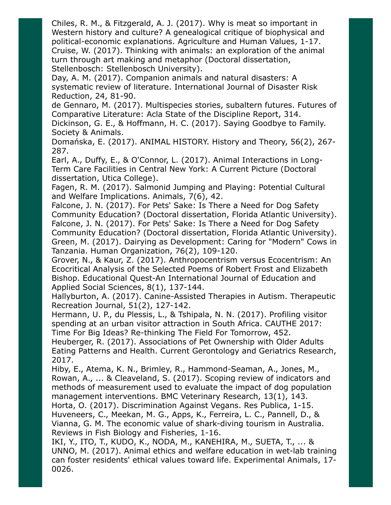Chiles, R. M., & Fitzgerald, A. J. (2017). Why is meat so important in Western history and culture? A genealogical critique of biophysical and political-economic explanations. Agriculture and Human Values, 1-17. Cruise, W. (2017). Thinking with animals: an exploration of the animal turn through art making and metaphor (Doctoral dissertation, Stellenbosch: Stellenbosch University).

Day, A. M. (2017). Companion animals and natural disasters: A systematic review of literature. International Journal of Disaster Risk Reduction, 24, 81-90.

de Gennaro, M. (2017). Multispecies stories, subaltern futures. Futures of Comparative Literature: Acla State of the Discipline Report, 314. Dickinson, G. E., & Hoffmann, H. C. (2017). Saying Goodbye to Family. Society & Animals.

Domańska, E. (2017). ANIMAL HISTORY. History and Theory, 56(2), 267- 287.

Earl, A., Duffy, E., & O'Connor, L. (2017). Animal Interactions in Long-Term Care Facilities in Central New York: A Current Picture (Doctoral dissertation, Utica College).

Fagen, R. M. (2017). Salmonid Jumping and Playing: Potential Cultural and Welfare Implications. Animals, 7(6), 42.

Falcone, J. N. (2017). For Pets' Sake: Is There a Need for Dog Safety Community Education? (Doctoral dissertation, Florida Atlantic University). Falcone, J. N. (2017). For Pets' Sake: Is There a Need for Dog Safety Community Education? (Doctoral dissertation, Florida Atlantic University). Green, M. (2017). Dairying as Development: Caring for "Modern" Cows in Tanzania. Human Organization, 76(2), 109-120.

Grover, N., & Kaur, Z. (2017). Anthropocentrism versus Ecocentrism: An Ecocritical Analysis of the Selected Poems of Robert Frost and Elizabeth Bishop. Educational Quest-An International Journal of Education and Applied Social Sciences, 8(1), 137-144.

Hallyburton, A. (2017). Canine-Assisted Therapies in Autism. Therapeutic Recreation Journal, 51(2), 127-142.

Hermann, U. P., du Plessis, L., & Tshipala, N. N. (2017). Profiling visitor spending at an urban visitor attraction in South Africa. CAUTHE 2017: Time For Big Ideas? Re-thinking The Field For Tomorrow, 452.

Heuberger, R. (2017). Associations of Pet Ownership with Older Adults Eating Patterns and Health. Current Gerontology and Geriatrics Research, 2017.

Hiby, E., Atema, K. N., Brimley, R., Hammond-Seaman, A., Jones, M., Rowan, A., ... & Cleaveland, S. (2017). Scoping review of indicators and methods of measurement used to evaluate the impact of dog population management interventions. BMC Veterinary Research, 13(1), 143.

Horta, O. (2017). Discrimination Against Vegans. Res Publica, 1-15. Huveneers, C., Meekan, M. G., Apps, K., Ferreira, L. C., Pannell, D., & Vianna, G. M. The economic value of shark-diving tourism in Australia. Reviews in Fish Biology and Fisheries, 1-16.

IKI, Y., ITO, T., KUDO, K., NODA, M., KANEHIRA, M., SUETA, T., ... & UNNO, M. (2017). Animal ethics and welfare education in wet-lab training can foster residents' ethical values toward life. Experimental Animals, 17- 0026.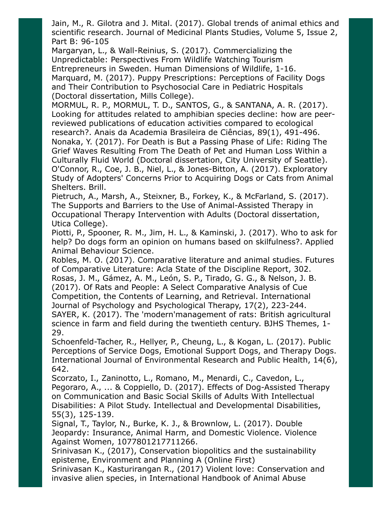Jain, M., R. Gilotra and J. Mital. (2017). Global trends of animal ethics and scientific research. Journal of Medicinal Plants Studies, Volume 5, Issue 2, Part B: 96-105

Margaryan, L., & Wall-Reinius, S. (2017). Commercializing the Unpredictable: Perspectives From Wildlife Watching Tourism Entrepreneurs in Sweden. Human Dimensions of Wildlife, 1-16. Marquard, M. (2017). Puppy Prescriptions: Perceptions of Facility Dogs and Their Contribution to Psychosocial Care in Pediatric Hospitals (Doctoral dissertation, Mills College).

MORMUL, R. P., MORMUL, T. D., SANTOS, G., & SANTANA, A. R. (2017). Looking for attitudes related to amphibian species decline: how are peerreviewed publications of education activities compared to ecological research?. Anais da Academia Brasileira de Ciências, 89(1), 491-496. Nonaka, Y. (2017). For Death is But a Passing Phase of Life: Riding The Grief Waves Resulting From The Death of Pet and Human Loss Within a Culturally Fluid World (Doctoral dissertation, City University of Seattle). O'Connor, R., Coe, J. B., Niel, L., & Jones-Bitton, A. (2017). Exploratory Study of Adopters' Concerns Prior to Acquiring Dogs or Cats from Animal Shelters. Brill.

Pietruch, A., Marsh, A., Steixner, B., Forkey, K., & McFarland, S. (2017). The Supports and Barriers to the Use of Animal-Assisted Therapy in Occupational Therapy Intervention with Adults (Doctoral dissertation, Utica College).

Piotti, P., Spooner, R. M., Jim, H. L., & Kaminski, J. (2017). Who to ask for help? Do dogs form an opinion on humans based on skilfulness?. Applied Animal Behaviour Science.

Robles, M. O. (2017). Comparative literature and animal studies. Futures of Comparative Literature: Acla State of the Discipline Report, 302.

Rosas, J. M., Gámez, A. M., León, S. P., Tirado, G. G., & Nelson, J. B. (2017). Of Rats and People: A Select Comparative Analysis of Cue Competition, the Contents of Learning, and Retrieval. International Journal of Psychology and Psychological Therapy, 17(2), 223-244.

SAYER, K. (2017). The 'modern'management of rats: British agricultural science in farm and field during the twentieth century. BJHS Themes, 1- 29.

Schoenfeld-Tacher, R., Hellyer, P., Cheung, L., & Kogan, L. (2017). Public Perceptions of Service Dogs, Emotional Support Dogs, and Therapy Dogs. International Journal of Environmental Research and Public Health, 14(6), 642.

Scorzato, I., Zaninotto, L., Romano, M., Menardi, C., Cavedon, L., Pegoraro, A., ... & Coppiello, D. (2017). Effects of Dog-Assisted Therapy on Communication and Basic Social Skills of Adults With Intellectual Disabilities: A Pilot Study. Intellectual and Developmental Disabilities, 55(3), 125-139.

Signal, T., Taylor, N., Burke, K. J., & Brownlow, L. (2017). Double Jeopardy: Insurance, Animal Harm, and Domestic Violence. Violence Against Women, 1077801217711266.

Srinivasan K., (2017), Conservation biopolitics and the sustainability episteme, Environment and Planning A (Online First)

Srinivasan K., Kasturirangan R., (2017) Violent love: Conservation and invasive alien species, in International Handbook of Animal Abuse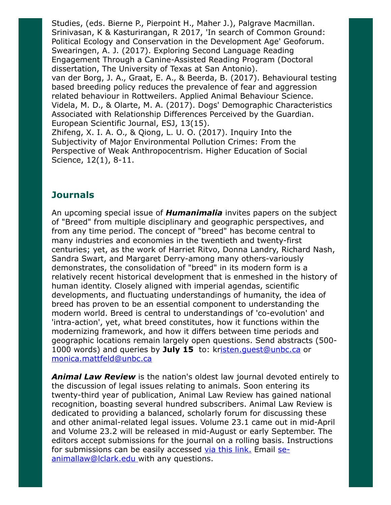Studies, (eds. Bierne P., Pierpoint H., Maher J.), Palgrave Macmillan. Srinivasan, K & Kasturirangan, R 2017, 'In search of Common Ground: Political Ecology and Conservation in the Development Age' Geoforum. Swearingen, A. J. (2017). Exploring Second Language Reading Engagement Through a Canine-Assisted Reading Program (Doctoral dissertation, The University of Texas at San Antonio). van der Borg, J. A., Graat, E. A., & Beerda, B. (2017). Behavioural testing based breeding policy reduces the prevalence of fear and aggression related behaviour in Rottweilers. Applied Animal Behaviour Science. Videla, M. D., & Olarte, M. A. (2017). Dogs' Demographic Characteristics Associated with Relationship Differences Perceived by the Guardian. European Scientific Journal, ESJ, 13(15). Zhifeng, X. I. A. O., & Qiong, L. U. O. (2017). Inquiry Into the Subjectivity of Major Environmental Pollution Crimes: From the Perspective of Weak Anthropocentrism. Higher Education of Social

Science, 12(1), 8-11.

### **Journals**

An upcoming special issue of **Humanimalia** invites papers on the subject of "Breed" from multiple disciplinary and geographic perspectives, and from any time period. The concept of "breed" has become central to many industries and economies in the twentieth and twenty-first centuries; yet, as the work of Harriet Ritvo, Donna Landry, Richard Nash, Sandra Swart, and Margaret Derry-among many others-variously demonstrates, the consolidation of "breed" in its modern form is a relatively recent historical development that is enmeshed in the history of human identity. Closely aligned with imperial agendas, scientific developments, and fluctuating understandings of humanity, the idea of breed has proven to be an essential component to understanding the modern world. Breed is central to understandings of 'co-evolution' and 'intra-action', yet, what breed constitutes, how it functions within the modernizing framework, and how it differs between time periods and geographic locations remain largely open questions. Send abstracts (500- 1000 words) and queries by July 15 to: kristen.quest@unbc.ca or [monica.mattfeld@unbc.ca](mailto:monica.mattfeld@unbc.ca)

**Animal Law Review** is the nation's oldest law journal devoted entirely to the discussion of legal issues relating to animals. Soon entering its twenty-third year of publication, Animal Law Review has gained national recognition, boasting several hundred subscribers. Animal Law Review is dedicated to providing a balanced, scholarly forum for discussing these and other animal-related legal issues. Volume 23.1 came out in mid-April and Volume 23.2 will be released in mid-August or early September. The editors accept submissions for the journal on a rolling basis. Instructions for submissions can be easily accessed via this [link.](https://law.lclark.edu/law_reviews/animal_law_review/submission_information.php) Email se[animallaw@lclark.edu](mailto:se-animallaw@lclark.edu) with any questions.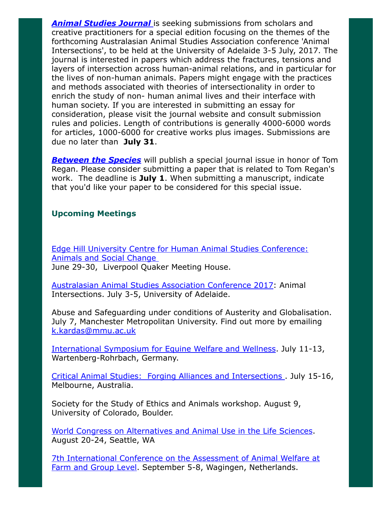**Animal [Studies](http://ro.uow.edu.au/cgi/submit.cgi?context=asj) Journal** is seeking submissions from scholars and creative practitioners for a special edition focusing on the themes of the forthcoming Australasian Animal Studies Association conference 'Animal Intersections', to be held at the University of Adelaide 3-5 July, 2017. The journal is interested in papers which address the fractures, tensions and layers of intersection across human-animal relations, and in particular for the lives of non-human animals. Papers might engage with the practices and methods associated with theories of intersectionality in order to enrich the study of non- human animal lives and their interface with human society. If you are interested in submitting an essay for consideration, please visit the journal website and consult submission rules and policies. Length of contributions is generally 4000-6000 words for articles, 1000-6000 for creative works plus images. Submissions are due no later than July 31.

**[Between](http://digitalcommons.calpoly.edu/bts/submission_guidelines.html) the Species** will publish a special journal issue in honor of Tom Regan. Please consider submitting a paper that is related to Tom Regan's work. The deadline is July 1. When submitting a manuscript, indicate that you'd like your paper to be considered for this special issue.

### Upcoming Meetings

Edge Hill University Centre for Human Animal Studies [Conference:](http://enterprisesstore.edgehill.ac.uk/product-catalogue/conferences/conferences/centre-for-human-animal-studies-animals-and-social-change-conference-29th-30th-june-2017) Animals and Social Change June 29-30, Liverpool Quaker Meeting House.

[Australasian](http://aasa2017.com.au/#_home) Animal Studies Association Conference 2017: Animal Intersections. July 3-5, University of Adelaide.

Abuse and Safeguarding under conditions of Austerity and Globalisation. July 7, Manchester Metropolitan University. Find out more by emailing [k.kardas@mmu.ac.uk](mailto:k.kardas@mmu.ac.uk)

[International](http://www.mindsnmotionsymposium.org/) Symposium for Equine Welfare and Wellness. July 11-13, Wartenberg-Rohrbach, Germany.

Critical Animal Studies: Forging Alliances and [Intersections](http://www.criticalanimalstudies.org/oceania-conference/) . July 15-16, Melbourne, Australia.

Society for the Study of Ethics and Animals workshop. August 9, University of Colorado, Boulder.

World Congress on [Alternatives](http://wc10seattle.org/2017/Home.aspx) and Animal Use in the Life Sciences. August 20-24, Seattle, WA

7th [International](http://wafl2017.com/) Conference on the Assessment of Animal Welfare at Farm and Group Level. September 5-8, Wagingen, Netherlands.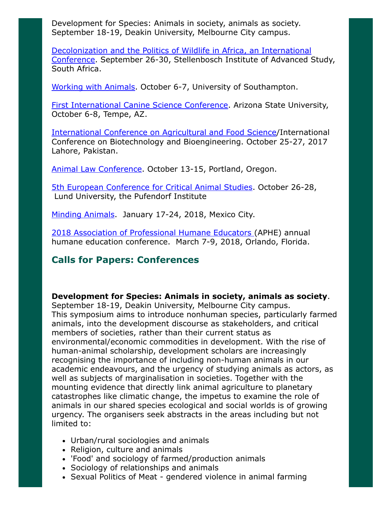Development for Species: Animals in society, animals as society. September 18-19, Deakin University, Melbourne City campus.

[Decolonization](https://www.uni-kassel.de/projekte/fileadmin/datas/projekte/tier-mensch-gesellschaft/cfp_decolonization_wildlife.pdf) and the Politics of Wildlife in Africa, an International Conference. September 26-30, Stellenbosch Institute of Advanced Study, South Africa.

[Working](http://www.britishanimalstudiesnetwork.org.uk/FutureMeetings/WorkingwithAnimals.aspx) with Animals. October 6-7, University of Southampton.

First [International](http://clivewynne.wixsite.com/caninescience2017) Canine Science Conference. Arizona State University, October 6-8, Tempe, AZ.

[International](http://www.icbb.vu.edu.pk/) Conference on Agricultural and Food Science/International Conference on Biotechnology and Bioengineering. October 25-27, 2017 Lahore, Pakistan.

Animal Law [Conference](http://animallawconference.org/). October 13-15, Portland, Oregon.

5th European [Conference](https://animalsconferencelund.wordpress.com/) for Critical Animal Studies. October 26-28, Lund University, the Pufendorf Institute

Minding [Animals](http://www.mindinganimals.com/conferences/mac4-ciudad-de-mexico-mexico/). January 17-24, 2018, Mexico City.

2018 Association of [Professional](http://www.aphe.org/) Humane Educators (APHE) annual humane education conference. March 7-9, 2018, Orlando, Florida.

# Calls for Papers: Conferences

### Development for Species: Animals in society, animals as society.

September 18-19, Deakin University, Melbourne City campus. This symposium aims to introduce nonhuman species, particularly farmed animals, into the development discourse as stakeholders, and critical members of societies, rather than their current status as environmental/economic commodities in development. With the rise of human-animal scholarship, development scholars are increasingly recognising the importance of including non-human animals in our academic endeavours, and the urgency of studying animals as actors, as well as subjects of marginalisation in societies. Together with the mounting evidence that directly link animal agriculture to planetary catastrophes like climatic change, the impetus to examine the role of animals in our shared species ecological and social worlds is of growing urgency. The organisers seek abstracts in the areas including but not limited to:

- Urban/rural sociologies and animals
- Religion, culture and animals
- 'Food' and sociology of farmed/production animals
- Sociology of relationships and animals
- Sexual Politics of Meat gendered violence in animal farming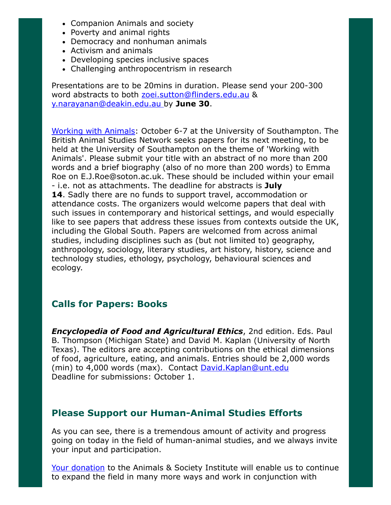- Companion Animals and society
- Poverty and animal rights
- Democracy and nonhuman animals
- Activism and animals
- Developing species inclusive spaces
- Challenging anthropocentrism in research

Presentations are to be 20mins in duration. Please send your 200-300 word abstracts to both [zoei.sutton@flinders.edu.au](mailto:zoei.sutton@flinders.edu.au) & [y.narayanan@deakin.edu.au](mailto:y.narayanan@deakin.edu.au) by June 30.

[Working](http://www.britishanimalstudiesnetwork.org.uk/FutureMeetings/WorkingwithAnimals.aspx) with Animals: October 6-7 at the University of Southampton. The British Animal Studies Network seeks papers for its next meeting, to be held at the University of Southampton on the theme of 'Working with Animals'. Please submit your title with an abstract of no more than 200 words and a brief biography (also of no more than 200 words) to Emma Roe on E.J.Roe@soton.ac.uk. These should be included within your email - i.e. not as attachments. The deadline for abstracts is July 14. Sadly there are no funds to support travel, accommodation or attendance costs. The organizers would welcome papers that deal with such issues in contemporary and historical settings, and would especially like to see papers that address these issues from contexts outside the UK, including the Global South. Papers are welcomed from across animal studies, including disciplines such as (but not limited to) geography, anthropology, sociology, literary studies, art history, history, science and technology studies, ethology, psychology, behavioural sciences and ecology.

# Calls for Papers: Books

**Encyclopedia of Food and Agricultural Ethics**, 2nd edition. Eds. Paul B. Thompson (Michigan State) and David M. Kaplan (University of North Texas). The editors are accepting contributions on the ethical dimensions of food, agriculture, eating, and animals. Entries should be 2,000 words (min) to 4,000 words (max). Contact [David.Kaplan@unt.edu](mailto:David.Kaplan@unt.edu) Deadline for submissions: October 1.

# Please Support our Human-Animal Studies Efforts

As you can see, there is a tremendous amount of activity and progress going on today in the field of human-animal studies, and we always invite your input and participation.

Your [donation](https://www.givedirect.org/donate/?cid=4552) to the Animals & Society Institute will enable us to continue to expand the field in many more ways and work in conjunction with